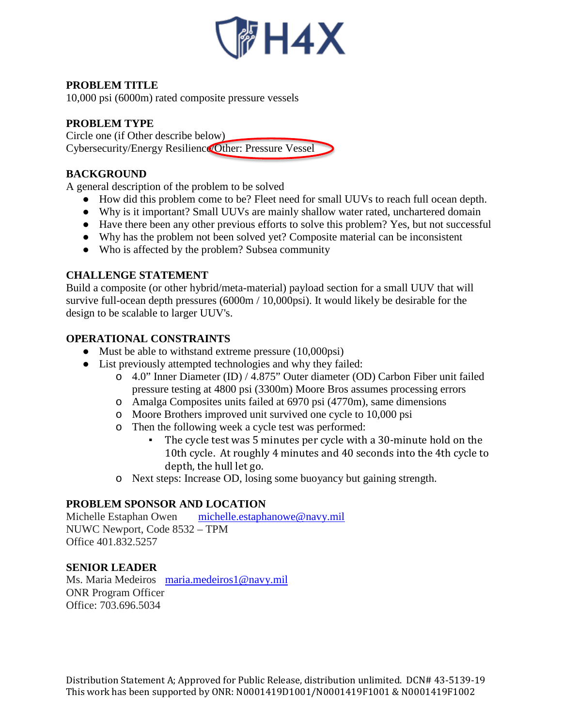

# **PROBLEM TITLE**

10,000 psi (6000m) rated composite pressure vessels

# **PROBLEM TYPE**

Circle one (if Other describe below) Cybersecurity/Energy Resilience/Other: Pressure Vessel

# **BACKGROUND**

A general description of the problem to be solved

- How did this problem come to be? Fleet need for small UUVs to reach full ocean depth.
- Why is it important? Small UUVs are mainly shallow water rated, unchartered domain
- Have there been any other previous efforts to solve this problem? Yes, but not successful
- Why has the problem not been solved yet? Composite material can be inconsistent
- Who is affected by the problem? Subsea community

# **CHALLENGE STATEMENT**

Build a composite (or other hybrid/meta-material) payload section for a small UUV that will survive full-ocean depth pressures (6000m / 10,000psi). It would likely be desirable for the design to be scalable to larger UUV's.

# **OPERATIONAL CONSTRAINTS**

- Must be able to withstand extreme pressure (10,000psi)
- List previously attempted technologies and why they failed:
	- o 4.0" Inner Diameter (ID) / 4.875" Outer diameter (OD) Carbon Fiber unit failed pressure testing at 4800 psi (3300m) Moore Bros assumes processing errors
	- o Amalga Composites units failed at 6970 psi (4770m), same dimensions
	- o Moore Brothers improved unit survived one cycle to 10,000 psi
	- o Then the following week a cycle test was performed:
		- The cycle test was 5 minutes per cycle with a 30-minute hold on the 10th cycle. At roughly 4 minutes and 40 seconds into the 4th cycle to depth, the hull let go.
	- o Next steps: Increase OD, losing some buoyancy but gaining strength.

# **PROBLEM SPONSOR AND LOCATION**

Michelle Estaphan Owen [michelle.estaphanowe@navy.mil](mailto:michelle.estaphanowe@navy.mil) NUWC Newport, Code 8532 – TPM Office 401.832.5257

### **SENIOR LEADER**

Ms. Maria Medeiros [maria.medeiros1@navy.mil](mailto:maria.medeiros1@navy.mil) ONR Program Officer Office: 703.696.5034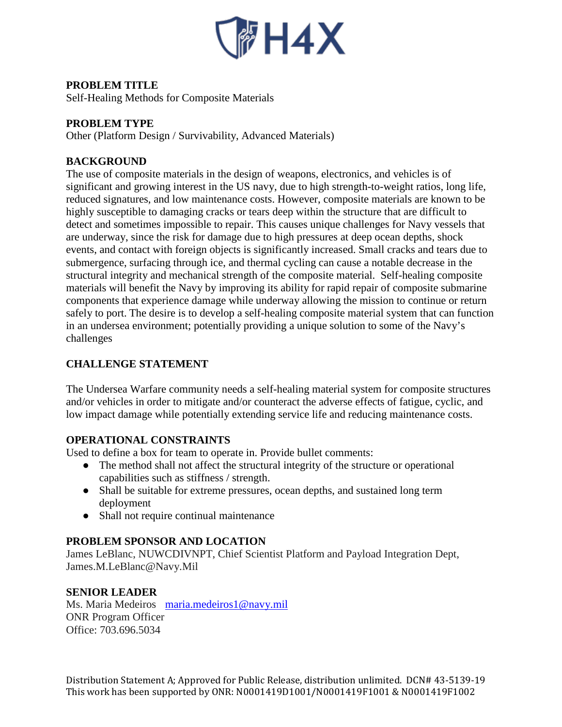

# **PROBLEM TITLE**

Self-Healing Methods for Composite Materials

### **PROBLEM TYPE**

Other (Platform Design / Survivability, Advanced Materials)

### **BACKGROUND**

The use of composite materials in the design of weapons, electronics, and vehicles is of significant and growing interest in the US navy, due to high strength-to-weight ratios, long life, reduced signatures, and low maintenance costs. However, composite materials are known to be highly susceptible to damaging cracks or tears deep within the structure that are difficult to detect and sometimes impossible to repair. This causes unique challenges for Navy vessels that are underway, since the risk for damage due to high pressures at deep ocean depths, shock events, and contact with foreign objects is significantly increased. Small cracks and tears due to submergence, surfacing through ice, and thermal cycling can cause a notable decrease in the structural integrity and mechanical strength of the composite material. Self-healing composite materials will benefit the Navy by improving its ability for rapid repair of composite submarine components that experience damage while underway allowing the mission to continue or return safely to port. The desire is to develop a self-healing composite material system that can function in an undersea environment; potentially providing a unique solution to some of the Navy's challenges

### **CHALLENGE STATEMENT**

The Undersea Warfare community needs a self-healing material system for composite structures and/or vehicles in order to mitigate and/or counteract the adverse effects of fatigue, cyclic, and low impact damage while potentially extending service life and reducing maintenance costs.

### **OPERATIONAL CONSTRAINTS**

Used to define a box for team to operate in. Provide bullet comments:

- The method shall not affect the structural integrity of the structure or operational capabilities such as stiffness / strength.
- Shall be suitable for extreme pressures, ocean depths, and sustained long term deployment
- Shall not require continual maintenance

### **PROBLEM SPONSOR AND LOCATION**

James LeBlanc, NUWCDIVNPT, Chief Scientist Platform and Payload Integration Dept, James.M.LeBlanc@Navy.Mil

### **SENIOR LEADER**

Ms. Maria Medeiros [maria.medeiros1@navy.mil](mailto:maria.medeiros1@navy.mil) ONR Program Officer Office: 703.696.5034